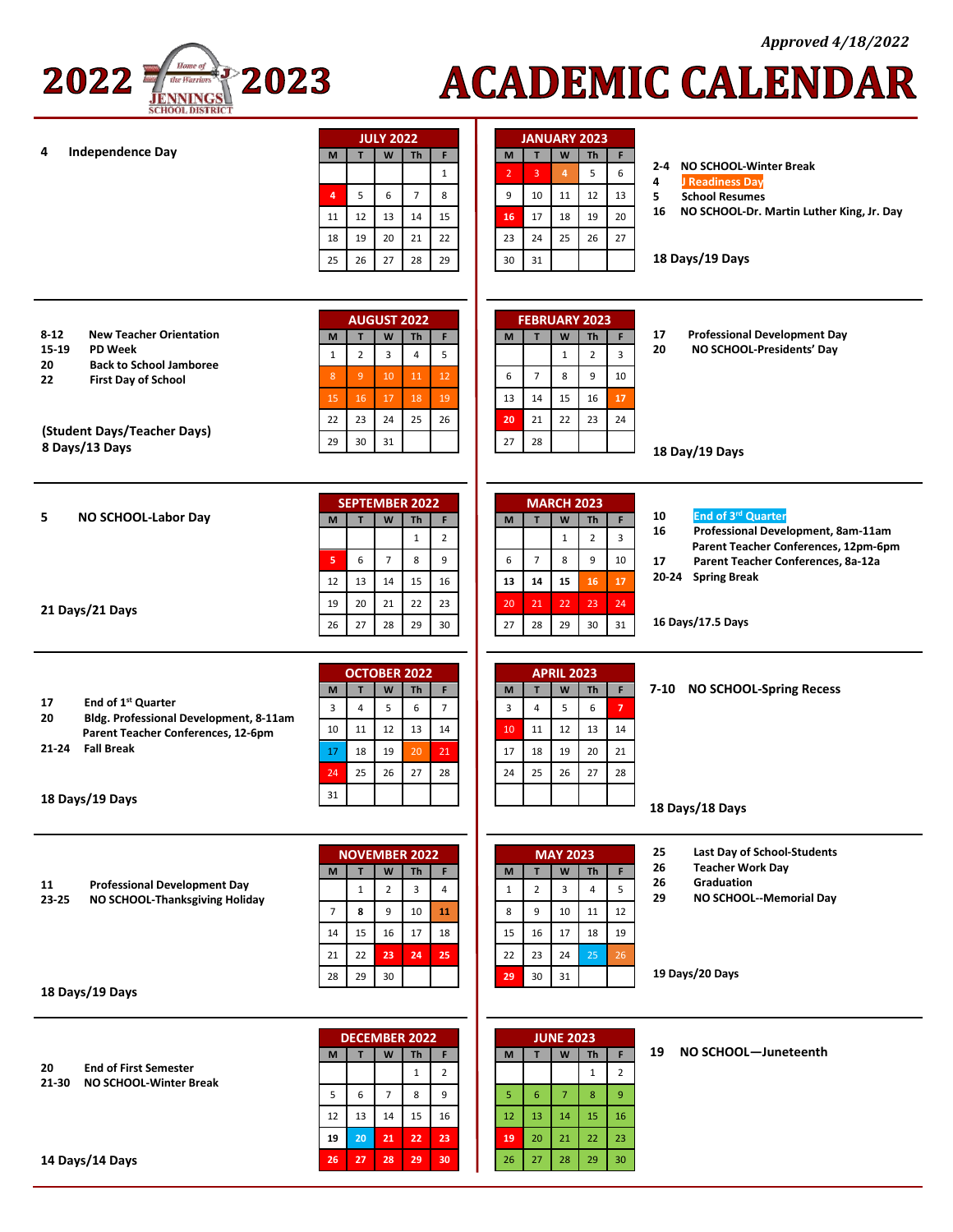

# **ACADEMIC CALENDAR**

| <b>Independence Day</b><br>4                                                                                                                                                                       | <b>JULY 2022</b><br>W<br>F<br>T<br>M<br>Th<br>$\mathbf{1}$<br>$\overline{7}$<br>8<br>5<br>6<br>$\overline{a}$<br>11<br>12<br>13<br>14<br>15<br>21<br>22<br>18<br>19<br>20                                                                                                                                              | <b>JANUARY 2023</b><br>$\mathsf{W}% _{T}=\mathsf{W}_{T}\!\left( a,b\right) ,\ \mathsf{W}_{T}=\mathsf{W}_{T}\!\left( a,b\right) ,$<br>M<br>T<br>F<br>Th<br>NO SCHOOL-Winter Break<br>$2 - 4$<br>6<br>5<br>3<br>$\overline{4}$<br>$\overline{2}$<br>4<br>J Readiness Day<br>12<br>13<br>9<br>10<br>11<br>5<br><b>School Resumes</b><br>16<br>NO SCHOOL-Dr. Martin Luther King, Jr. Day<br>20<br>17<br>18<br>19<br>16<br>25<br>27<br>23<br>24<br>26 |  |
|----------------------------------------------------------------------------------------------------------------------------------------------------------------------------------------------------|------------------------------------------------------------------------------------------------------------------------------------------------------------------------------------------------------------------------------------------------------------------------------------------------------------------------|--------------------------------------------------------------------------------------------------------------------------------------------------------------------------------------------------------------------------------------------------------------------------------------------------------------------------------------------------------------------------------------------------------------------------------------------------|--|
|                                                                                                                                                                                                    | 27<br>28<br>29<br>25<br>26                                                                                                                                                                                                                                                                                             | 18 Days/19 Days<br>30<br>31                                                                                                                                                                                                                                                                                                                                                                                                                      |  |
| <b>New Teacher Orientation</b><br>$8 - 12$<br>15-19<br><b>PD Week</b><br>20<br><b>Back to School Jamboree</b><br>22<br><b>First Day of School</b><br>(Student Days/Teacher Days)<br>8 Days/13 Days | <b>AUGUST 2022</b><br>$\mathbf W$<br>F<br>M<br>T<br>Th<br>$\overline{2}$<br>5<br>3<br>$\overline{4}$<br>$\mathbf{1}$<br>11<br>8 <sup>°</sup><br>$\overline{9}$<br>12<br>10<br>16<br>18<br>19<br>15<br>17<br>23<br>24<br>25<br>26<br>22<br>29<br>30<br>31                                                               | <b>FEBRUARY 2023</b><br>17<br><b>Professional Development Day</b><br>$\mathbf{T}$<br>$\mathsf{W}% _{T}=\mathsf{W}_{T}\!\left( a,b\right) ,\ \mathsf{W}_{T}=\mathsf{W}_{T}\!\left( a,b\right) ,$<br>F<br>M<br>Th<br>20<br>NO SCHOOL-Presidents' Day<br>$\overline{3}$<br>$\overline{2}$<br>$\mathbf{1}$<br>6<br>$\overline{7}$<br>8<br>9<br>10<br>16<br>17<br>13<br>14<br>15<br>20<br>21<br>22<br>23<br>24<br>28<br>27<br>18 Day/19 Days          |  |
| 5<br>NO SCHOOL-Labor Day                                                                                                                                                                           | <b>SEPTEMBER 2022</b><br>W<br><b>Th</b><br>F<br>M<br>T<br>$\mathbf 1$<br>$\overline{2}$                                                                                                                                                                                                                                | <b>MARCH 2023</b><br>End of 3rd Quarter<br>10<br>$\mathsf{W}% _{T}=\mathsf{W}_{T}\!\left( a,b\right) ,\ \mathsf{W}_{T}=\mathsf{W}_{T}\!\left( a,b\right) ,$<br>Th<br>F.<br>M<br>T<br>Professional Development, 8am-11am<br>16<br>$\overline{\mathbf{3}}$<br>$\mathbf 1$<br>$\overline{2}$<br>Parent Teacher Conferences, 12pm-6pm                                                                                                                |  |
| 21 Days/21 Days                                                                                                                                                                                    | 5<br>6<br>$\overline{7}$<br>8<br>9<br>15<br>12<br>13<br>14<br>16<br>22<br>20<br>23<br>19<br>21<br>27<br>28<br>29<br>26<br>30                                                                                                                                                                                           | 10<br>6<br>$\overline{7}$<br>8<br>9<br>17<br>Parent Teacher Conferences, 8a-12a<br>20-24 Spring Break<br>17<br>13<br>14<br>15<br>16<br>24<br>22<br>23<br>20<br>21<br>16 Days/17.5 Days<br>28<br>29<br>30<br>31<br>27                                                                                                                                                                                                                             |  |
| End of 1 <sup>st</sup> Quarter<br>17<br>20<br>Bldg. Professional Development, 8-11am<br>Parent Teacher Conferences, 12-6pm<br><b>Fall Break</b><br>$21 - 24$<br>18 Days/19 Days                    | <b>OCTOBER 2022</b><br>$\mathsf{W}% _{T}=\mathsf{W}_{T}\!\left( a,b\right) ,\ \mathsf{W}_{T}=\mathsf{W}_{T}\!\left( a,b\right) ,$<br>F<br>T<br>Th<br>M<br>$\overline{3}$<br>$\overline{4}$<br>5<br>6<br>$\overline{7}$<br>10<br>13<br>11<br>12<br>14<br>17<br>18<br>19<br>20<br>21<br>25<br>26<br>27<br>28<br>24<br>31 | <b>APRIL 2023</b><br>7-10 NO SCHOOL-Spring Recess<br>$\mathbf W$<br>$\mathsf F$<br>T<br>Th<br>M<br>$\overline{7}$<br>5<br>3<br>$\overline{4}$<br>6<br>11<br>12<br>13<br>14<br>10<br>18<br>17<br>19<br>20<br>21<br>25<br>26<br>27<br>28<br>24<br>18 Days/18 Days                                                                                                                                                                                  |  |
| 11<br><b>Professional Development Day</b><br>23-25<br>NO SCHOOL-Thanksgiving Holiday                                                                                                               | <b>NOVEMBER 2022</b><br>T<br>W<br>Th<br>M<br>F<br>$\mathbf 1$<br>$\overline{2}$<br>3<br>$\overline{4}$<br>$\overline{7}$<br>8<br>9<br>10<br>11<br>16<br>17<br>14<br>15<br>18<br>22<br>21<br>23<br>24<br>25                                                                                                             | 25<br>Last Day of School-Students<br><b>MAY 2023</b><br>26<br><b>Teacher Work Day</b><br>$\mathbf w$<br>T<br><b>Th</b><br>M<br>F.<br>26<br>Graduation<br>$\overline{2}$<br>3<br>5<br>$\overline{4}$<br>$\mathbf{1}$<br>29<br>NO SCHOOL--Memorial Day<br>8<br>9<br>12<br>10<br>11<br>18<br>19<br>15<br>16<br>17<br>26<br>22<br>23<br>24<br>25                                                                                                     |  |
| 18 Days/19 Days                                                                                                                                                                                    | 28<br>29<br>30                                                                                                                                                                                                                                                                                                         | 19 Days/20 Days<br>30<br>31<br>29                                                                                                                                                                                                                                                                                                                                                                                                                |  |
| <b>End of First Semester</b><br>20<br>21-30<br>NO SCHOOL-Winter Break<br>14 Days/14 Days                                                                                                           | <b>DECEMBER 2022</b><br>T<br>W<br><b>Th</b><br>F<br>M<br>$\mathbf{1}$<br>$\overline{2}$<br>5<br>6<br>$\overline{7}$<br>8<br>9<br>12<br>15<br>16<br>13<br>14<br>20<br>22<br>23<br>19<br>21<br>29<br>26<br>27<br>28<br>30                                                                                                | <b>JUNE 2023</b><br>19<br>NO SCHOOL-Juneteenth<br>F<br>T<br>W<br>Th<br>M<br>$\mathbf{1}$<br>$\overline{2}$<br>5 <sub>1</sub><br>6<br>$\overline{7}$<br>8<br>9 <sup>°</sup><br>12<br>13<br>14<br>15<br>16<br>22<br>23<br>20<br>21<br>19<br>27<br>28<br>29<br>30 <sub>2</sub><br>26                                                                                                                                                                |  |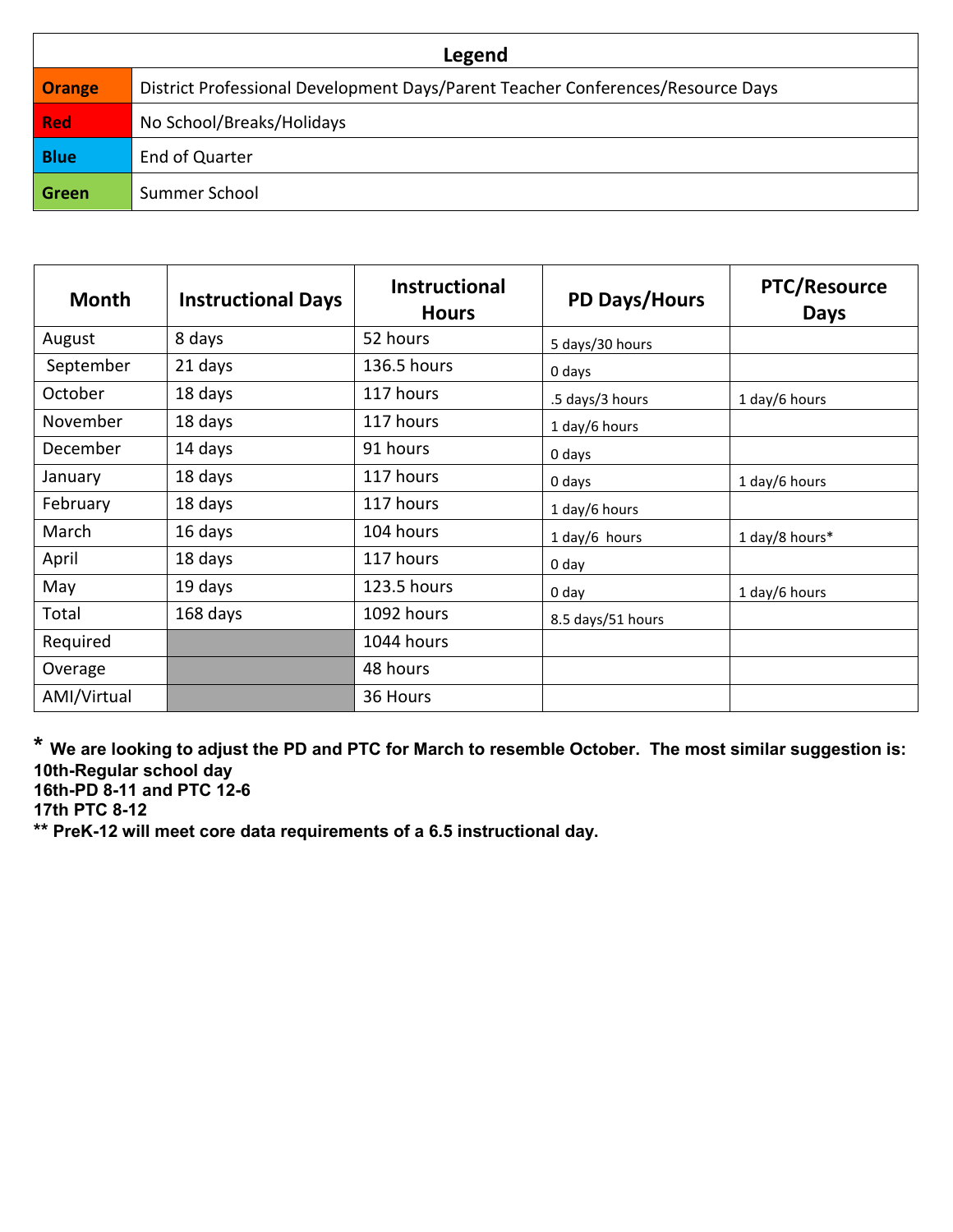| Legend        |                                                                                 |  |  |  |
|---------------|---------------------------------------------------------------------------------|--|--|--|
| <b>Orange</b> | District Professional Development Days/Parent Teacher Conferences/Resource Days |  |  |  |
| <b>Red</b>    | No School/Breaks/Holidays                                                       |  |  |  |
| <b>Blue</b>   | End of Quarter                                                                  |  |  |  |
| Green         | Summer School                                                                   |  |  |  |

| <b>Month</b> | <b>Instructional Days</b> | <b>Instructional</b><br><b>Hours</b> | <b>PD Days/Hours</b> | <b>PTC/Resource</b><br><b>Days</b> |
|--------------|---------------------------|--------------------------------------|----------------------|------------------------------------|
| August       | 8 days                    | 52 hours                             | 5 days/30 hours      |                                    |
| September    | 21 days                   | 136.5 hours                          | 0 days               |                                    |
| October      | 18 days                   | 117 hours                            | .5 days/3 hours      | 1 day/6 hours                      |
| November     | 18 days                   | 117 hours                            | 1 day/6 hours        |                                    |
| December     | 14 days                   | 91 hours                             | 0 days               |                                    |
| January      | 18 days                   | 117 hours                            | 0 days               | 1 day/6 hours                      |
| February     | 18 days                   | 117 hours                            | 1 day/6 hours        |                                    |
| March        | 16 days                   | 104 hours                            | 1 day/6 hours        | 1 day/8 hours*                     |
| April        | 18 days                   | 117 hours                            | 0 day                |                                    |
| May          | 19 days                   | 123.5 hours                          | 0 day                | 1 day/6 hours                      |
| Total        | 168 days                  | 1092 hours                           | 8.5 days/51 hours    |                                    |
| Required     |                           | 1044 hours                           |                      |                                    |
| Overage      |                           | 48 hours                             |                      |                                    |
| AMI/Virtual  |                           | 36 Hours                             |                      |                                    |

**\* We are looking to adjust the PD and PTC for March to resemble October. The most similar suggestion is: 10th-Regular school day 16th-PD 8-11 and PTC 12-6**

**17th PTC 8-12**

**\*\* PreK-12 will meet core data requirements of a 6.5 instructional day.**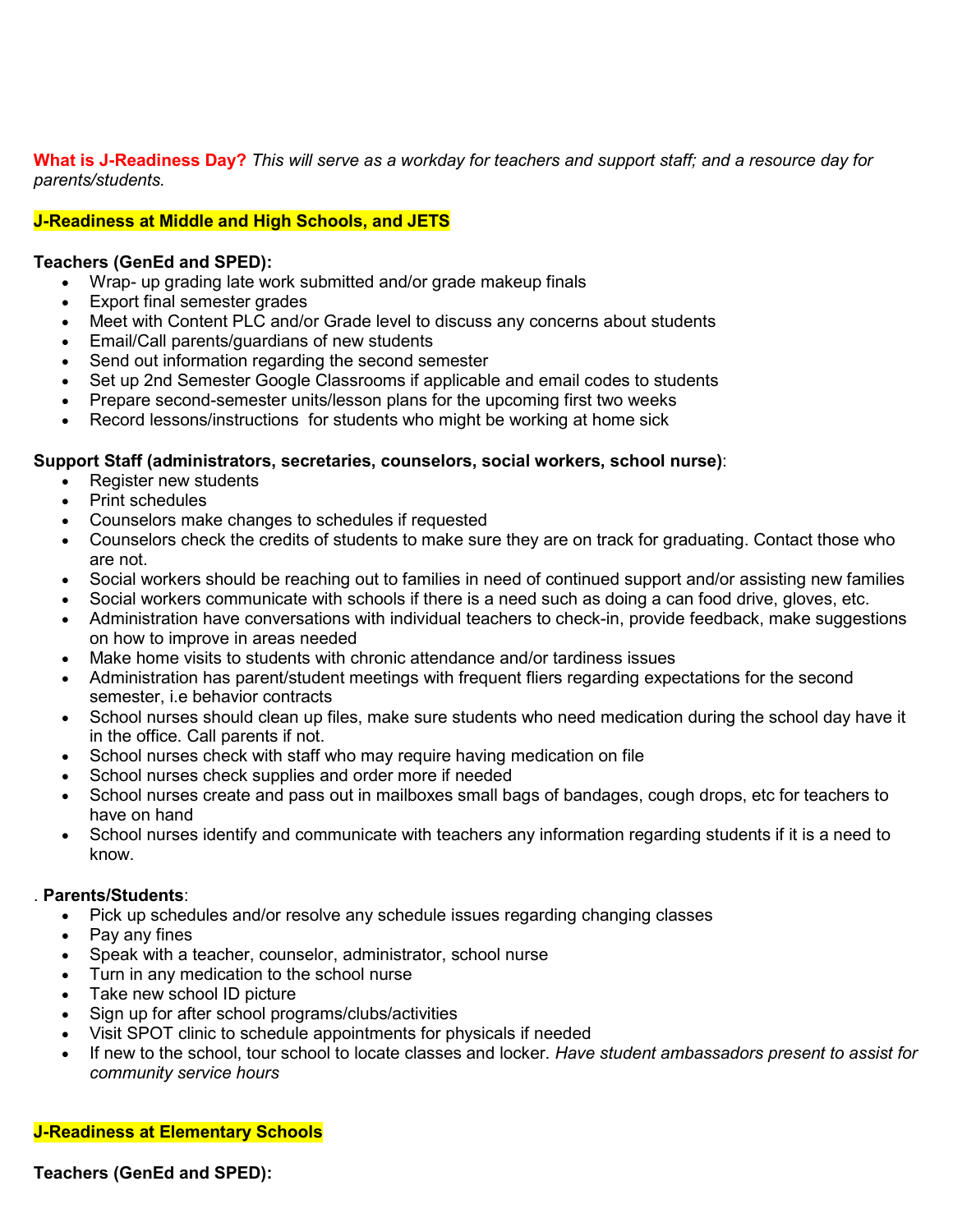**What is J-Readiness Day?** *This will serve as a workday for teachers and support staff; and a resource day for parents/students.*

## **J-Readiness at Middle and High Schools, and JETS**

## **Teachers (GenEd and SPED):**

- Wrap- up grading late work submitted and/or grade makeup finals
- Export final semester grades
- Meet with Content PLC and/or Grade level to discuss any concerns about students
- Email/Call parents/guardians of new students
- Send out information regarding the second semester
- Set up 2nd Semester Google Classrooms if applicable and email codes to students
- Prepare second-semester units/lesson plans for the upcoming first two weeks
- Record lessons/instructions for students who might be working at home sick

## **Support Staff (administrators, secretaries, counselors, social workers, school nurse)**:

- Register new students
- Print schedules
- Counselors make changes to schedules if requested
- Counselors check the credits of students to make sure they are on track for graduating. Contact those who are not.
- Social workers should be reaching out to families in need of continued support and/or assisting new families
- Social workers communicate with schools if there is a need such as doing a can food drive, gloves, etc.
- Administration have conversations with individual teachers to check-in, provide feedback, make suggestions on how to improve in areas needed
- Make home visits to students with chronic attendance and/or tardiness issues
- Administration has parent/student meetings with frequent fliers regarding expectations for the second semester, i.e behavior contracts
- School nurses should clean up files, make sure students who need medication during the school day have it in the office. Call parents if not.
- School nurses check with staff who may require having medication on file
- School nurses check supplies and order more if needed
- School nurses create and pass out in mailboxes small bags of bandages, cough drops, etc for teachers to have on hand
- School nurses identify and communicate with teachers any information regarding students if it is a need to know.

#### . **Parents/Students**:

- Pick up schedules and/or resolve any schedule issues regarding changing classes
- Pay any fines
- Speak with a teacher, counselor, administrator, school nurse
- Turn in any medication to the school nurse
- Take new school ID picture
- Sign up for after school programs/clubs/activities
- Visit SPOT clinic to schedule appointments for physicals if needed
- If new to the school, tour school to locate classes and locker. *Have student ambassadors present to assist for community service hours*

## **J-Readiness at Elementary Schools**

**Teachers (GenEd and SPED):**